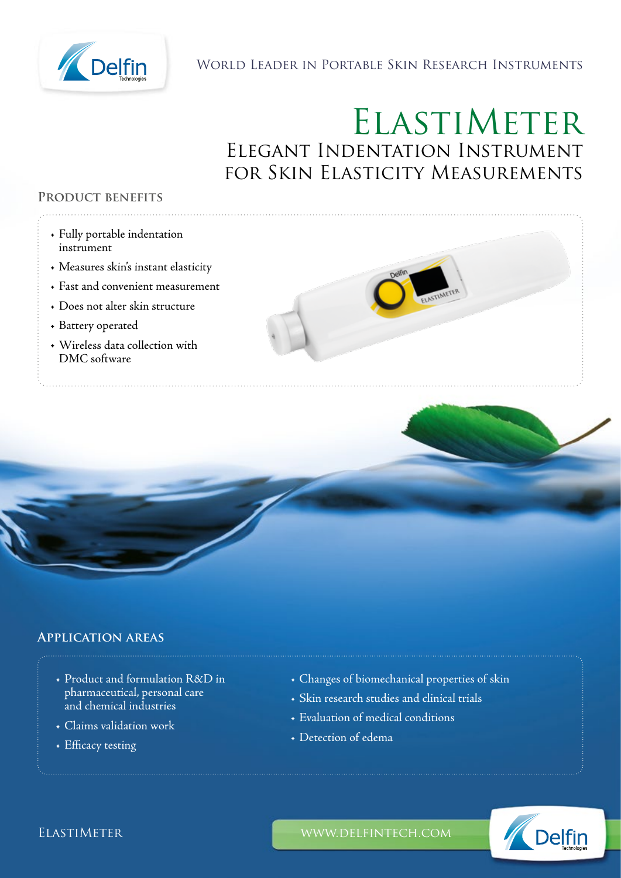

# World Leader in Portable Skin Research Instruments

# ELASTIMETER Elegant Indentation Instrument for Skin Elasticity Measurements

## **Product benefits**

- Fully portable indentation instrument
- Measures skin's instant elasticity
- Fast and convenient measurement
- Does not alter skin structure
- Battery operated
- Wireless data collection with DMC software



# **Application areas**

- Product and formulation R&D in pharmaceutical, personal care and chemical industries
- Claims validation work
- Efficacy testing
- Changes of biomechanical properties of skin
- Skin research studies and clinical trials
- Evaluation of medical conditions
- Detection of edema



ELASTIMETER WWW.DELFINTECH.COM